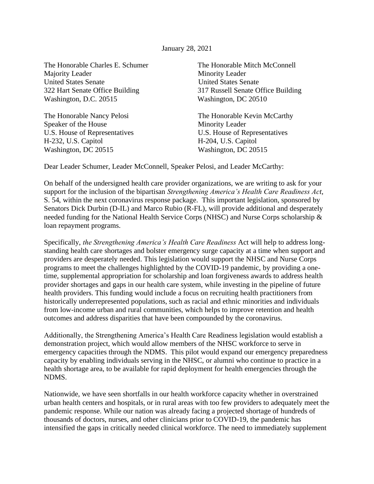January 28, 2021

The Honorable Charles E. Schumer The Honorable Mitch McConnell Majority Leader Minority Leader United States Senate United States Senate 322 Hart Senate Office Building 317 Russell Senate Office Building Washington, D.C. 20515 Washington, DC 20510

Speaker of the House Minority Leader U.S. House of Representatives U.S. House of Representatives H-232, U.S. Capitol H-204, U.S. Capitol Washington, DC 20515 Washington, DC 20515

The Honorable Nancy Pelosi The Honorable Kevin McCarthy

Dear Leader Schumer, Leader McConnell, Speaker Pelosi, and Leader McCarthy:

On behalf of the undersigned health care provider organizations, we are writing to ask for your support for the inclusion of the bipartisan *Strengthening America's Health Care Readiness Act*, S. 54, within the next coronavirus response package. This important legislation, sponsored by Senators Dick Durbin (D-IL) and Marco Rubio (R-FL), will provide additional and desperately needed funding for the National Health Service Corps (NHSC) and Nurse Corps scholarship & loan repayment programs.

Specifically, *the Strengthening America's Health Care Readiness* Act will help to address longstanding health care shortages and bolster emergency surge capacity at a time when support and providers are desperately needed. This legislation would support the NHSC and Nurse Corps programs to meet the challenges highlighted by the COVID-19 pandemic, by providing a onetime, supplemental appropriation for scholarship and loan forgiveness awards to address health provider shortages and gaps in our health care system, while investing in the pipeline of future health providers. This funding would include a focus on recruiting health practitioners from historically underrepresented populations, such as racial and ethnic minorities and individuals from low-income urban and rural communities, which helps to improve retention and health outcomes and address disparities that have been compounded by the coronavirus.

Additionally, the Strengthening America's Health Care Readiness legislation would establish a demonstration project, which would allow members of the NHSC workforce to serve in emergency capacities through the NDMS. This pilot would expand our emergency preparedness capacity by enabling individuals serving in the NHSC, or alumni who continue to practice in a health shortage area, to be available for rapid deployment for health emergencies through the NDMS.

Nationwide, we have seen shortfalls in our health workforce capacity whether in overstrained urban health centers and hospitals, or in rural areas with too few providers to adequately meet the pandemic response. While our nation was already facing a projected shortage of hundreds of thousands of doctors, nurses, and other clinicians prior to COVID-19, the pandemic has intensified the gaps in critically needed clinical workforce. The need to immediately supplement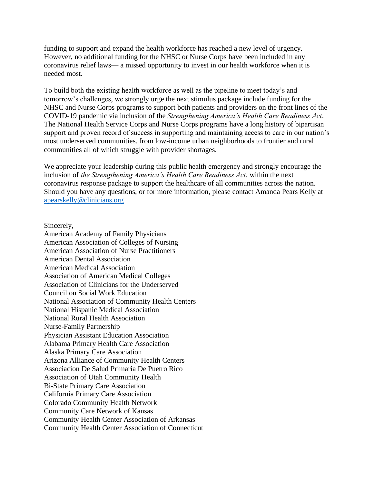funding to support and expand the health workforce has reached a new level of urgency. However, no additional funding for the NHSC or Nurse Corps have been included in any coronavirus relief laws— a missed opportunity to invest in our health workforce when it is needed most.

To build both the existing health workforce as well as the pipeline to meet today's and tomorrow's challenges, we strongly urge the next stimulus package include funding for the NHSC and Nurse Corps programs to support both patients and providers on the front lines of the COVID-19 pandemic via inclusion of the *Strengthening America's Health Care Readiness Act*. The National Health Service Corps and Nurse Corps programs have a long history of bipartisan support and proven record of success in supporting and maintaining access to care in our nation's most underserved communities. from low-income urban neighborhoods to frontier and rural communities all of which struggle with provider shortages.

We appreciate your leadership during this public health emergency and strongly encourage the inclusion of *the Strengthening America's Health Care Readiness Act*, within the next coronavirus response package to support the healthcare of all communities across the nation. Should you have any questions, or for more information, please contact Amanda Pears Kelly at [apearskelly@clinicians.org](mailto:apearskelly@clinicians.org)

Sincerely,

American Academy of Family Physicians American Association of Colleges of Nursing American Association of Nurse Practitioners American Dental Association American Medical Association Association of American Medical Colleges Association of Clinicians for the Underserved Council on Social Work Education National Association of Community Health Centers National Hispanic Medical Association National Rural Health Association Nurse-Family Partnership Physician Assistant Education Association Alabama Primary Health Care Association Alaska Primary Care Association Arizona Alliance of Community Health Centers Associacion De Salud Primaria De Puetro Rico Association of Utah Community Health Bi-State Primary Care Association California Primary Care Association Colorado Community Health Network Community Care Network of Kansas Community Health Center Association of Arkansas Community Health Center Association of Connecticut